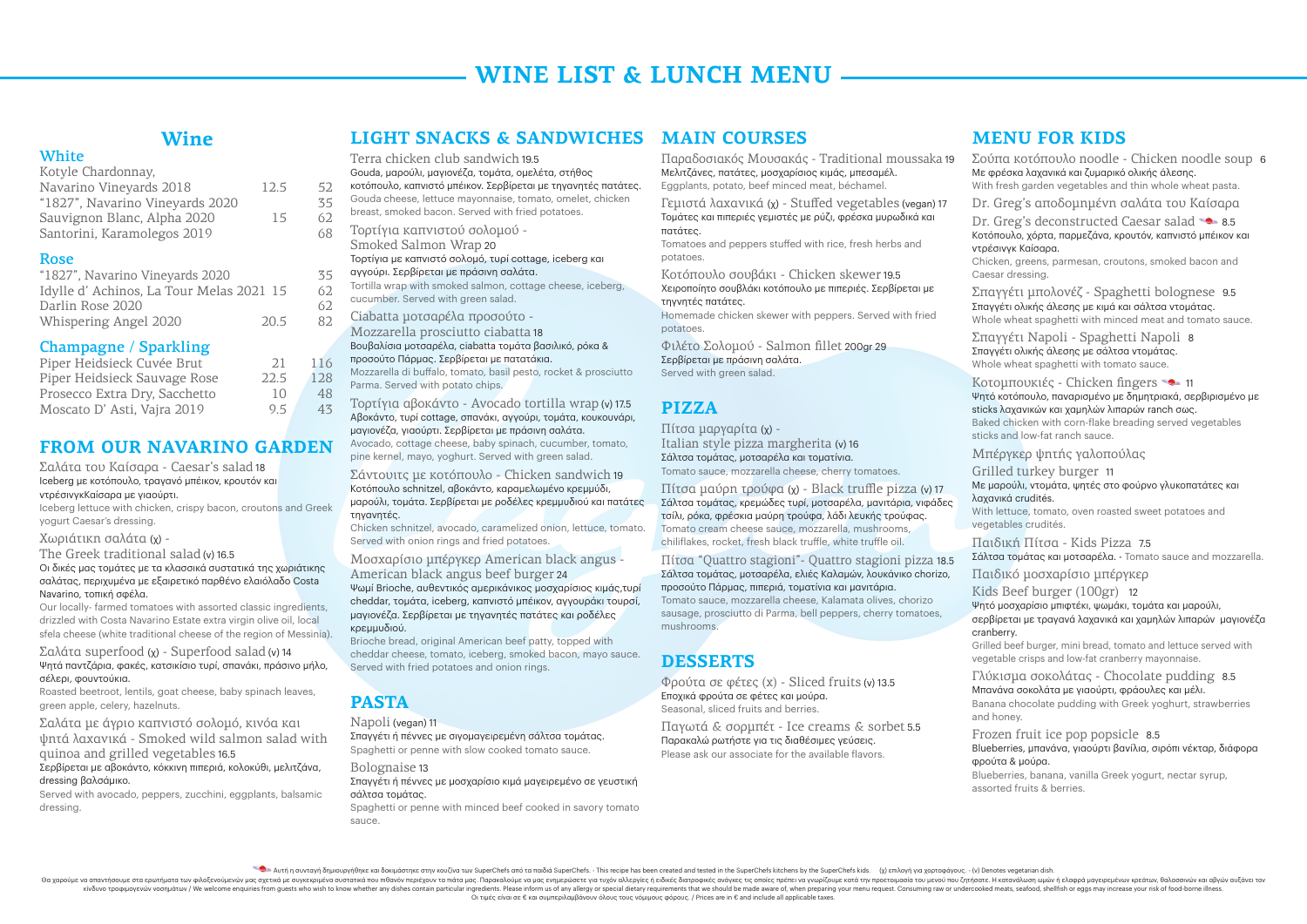Οι τιμές είναι σε € και συμπεριλαμβάνουν όλους τους νόμιμους φόρους. / Prices are in € and include all applicable taxes.

# **WINE LIST & LUNCH MENU.**

### **Wine**

#### **White**

| Kotyle Chardonnay,              |      |    |
|---------------------------------|------|----|
| Navarino Vineyards 2018         | 12.5 | 52 |
| "1827", Navarino Vineyards 2020 |      | 35 |
| Sauvignon Blanc, Alpha 2020     | 15   | 62 |
| Santorini, Karamolegos 2019     |      | 68 |
|                                 |      |    |

#### Rose

| "1827", Navarino Vineyards 2020         |      | 35 |
|-----------------------------------------|------|----|
| Idylle d'Achinos, La Tour Melas 2021 15 |      | 62 |
| Darlin Rose 2020                        |      | 62 |
| Whispering Angel 2020                   | 20.5 | 82 |

#### Champagne / Sparkling

| Piper Heidsieck Cuvée Brut<br>21     | 116 |
|--------------------------------------|-----|
| Piper Heidsieck Sauvage Rose<br>22.5 | 128 |
| Prosecco Extra Dry, Sacchetto<br>10  | 48  |
| 95<br>Moscato D'Asti, Vajra 2019     | 43  |

# **From our Navarino garden**

Σαλάτα του Καίσαρα - Caesar's salad 18 Iceberg με κοτόπουλο, τραγανό μπέικον, κρουτόν και ντρέσινγκΚαίσαρα με γιαούρτι.

Iceberg lettuce with chicken, crispy bacon, croutons and Greek yogurt Caesar's dressing.

Χωριάτικη σαλάτα (χ) -

The Greek traditional salad (v) 16.5

Οι δικές μας τομάτες με τα κλασσικά συστατικά της χωριάτικης σαλάτας, περιχυμένα με εξαιρετικό παρθένο ελαιόλαδο Costa Navarino, τοπική σφέλα.

Our locally- farmed tomatoes with assorted classic ingredients, drizzled with Costa Navarino Estate extra virgin olive oil, local sfela cheese (white traditional cheese of the region of Messinia).

Σαλάτα superfood (χ) - Superfood salad (v) 14 Ψητά παντζάρια, φακές, κατσικίσιο τυρί, σπανάκι, πράσινο μήλο, σέλερι, φουντούκια.

Roasted beetroot, lentils, goat cheese, baby spinach leaves, green apple, celery, hazelnuts.

Σαλάτα με άγριο καπνιστό σολομό, κινόα και ψητά λαχανικά - Smoked wild salmon salad with quinoa and grilled vegetables 16.5

#### Σερβίρεται με αβοκάντο, κόκκινη πιπεριά, κολοκύθι, μελιτζάνα, dressing βαλσάμικο.

Σερβίρεται με πράσινη σαλάτα. Served with green salad.

Served with avocado, peppers, zucchini, eggplants, balsamic dressing.

Terra chicken club sandwich 19.5 Gouda, μαρούλι, μαγιονέζα, τομάτα, ομελέτα, στήθος κοτόπουλο, καπνιστό μπέικον. Σερβίρεται με τηγανητές πατάτες. Gouda cheese, lettuce mayonnaise, tomato, omelet, chicken breast, smoked bacon. Served with fried potatoes. Τορτίγια καπνιστού σολομού - Smoked Salmon Wrap 20 Τορτίγια με καπνιστό σολομό, τυρί cottage, iceberg και αγγούρι. Σερβίρεται με πράσινη σαλάτα. Tortilla wrap with smoked salmon, cottage cheese, iceberg, cucumber. Served with green salad. Ciabatta μοτσαρέλα προσούτο - Mozzarella prosciutto ciabatta 18 Βουβαλίσια μοτσαρέλα, ciabatta τομάτα βασιλικό, ρόκα & προσούτο Πάρμας. Σερβίρεται με πατατάκια. Mozzarella di buffalo, tomato, basil pesto, rocket & prosciutto Parma. Served with potato chips.

Τορτίγια αβοκάντο - Avocado tortilla wrap (v) 17.5 Αβοκάντο, τυρί cottage, σπανάκι, αγγούρι, τομάτα, κουκουνάρι, μαγιονέζα, γιαούρτι. Σερβίρεται με πράσινη σαλάτα. Avocado, cottage cheese, baby spinach, cucumber, tomato, pine kernel, mayo, yoghurt. Served with green salad.

### **Light Snacks & Sandwiches Main courses**

Σάντουιτς με κοτόπουλο - Chicken sandwich 19 Κοτόπουλο schnitzel, αβοκάντο, καραμελωμένο κρεμμύδι, μαρούλι, τομάτα. Σερβίρεται με ροδέλες κρεμμυδιού και πατάτες τηγανητές.

Chicken schnitzel, avocado, caramelized onion, lettuce, tomato. Served with onion rings and fried potatoes.

Μοσχαρίσιο μπέργκερ American black angus -

#### American black angus beef burger 24

Ψωμί Brioche, αυθεντικός αμερικάνικος μοσχαρίσιος κιμάς,τυρί cheddar, τομάτα, iceberg, καπνιστό μπέικον, αγγουράκι τουρσί, μαγιονέζα. Σερβίρεται με τηγανητές πατάτες και ροδέλες κρεμμυδιού.

Brioche bread, original American beef patty, topped with cheddar cheese, tomato, iceberg, smoked bacon, mayo sauce. Served with fried potatoes and onion rings.

# **Pasta**

Napoli (vegan) 11

Σπαγγέτι ή πέννες με σιγομαγειρεμένη σάλτσα τομάτας. Spaghetti or penne with slow cooked tomato sauce.

Bolognaise 13

#### Σπαγγέτι ή πέννες με μοσχαρίσιο κιμά μαγειρεμένο σε γευστική σάλτσα τομάτας.

Spaghetti or penne with minced beef cooked in savory tomato sauce.

Παραδοσιακός Μουσακάς - Traditional moussaka 19 Μελιτζάνες, πατάτες, μοσχαρίσιος κιμάς, μπεσαμέλ. Eggplants, potato, beef minced meat, béchamel. Γεμιστά λαχανικά (χ) - Stuffed vegetables (vegan) 17 Τομάτες και πιπεριές γεμιστές με ρύζι, φρέσκα μυρωδικά και πατάτες. Tomatoes and peppers stuffed with rice, fresh herbs and potatoes. Κοτόπουλο σουβάκι - Chicken skewer 19.5 Χειροποίητο σουβλάκι κοτόπουλο με πιπεριές. Σερβίρεται με τηγνητές πατάτες. Homemade chicken skewer with peppers. Served with fried potatoes. Φιλέτο Σολομού - Salmon fillet 200gr 29

# **Pizza**

Πίτσα μαργαρίτα (χ) - Italian style pizza margherita (v) 16 Σάλτσα τομάτας, μοτσαρέλα και τοματίνια. Tomato sauce, mozzarella cheese, cherry tomatoes.

Πίτσα μαύρη τρούφα (χ) - Black truffle pizza (v) 17 Σάλτσα τομάτας, κρεμώδες τυρί, μοτσαρέλα, μανιτάρια, νιφάδες τσίλι, ρόκα, φρέσκια μαύρη τρούφα, λάδι λευκής τρούφας. Tomato cream cheese sauce, mozzarella, mushrooms, chiliflakes, rocket, fresh black truffle, white truffle oil.

Πίτσα "Quattro stagioni"- Quattro stagioni pizza 18.5 Σάλτσα τομάτας, μοτσαρέλα, ελιές Καλαμών, λουκάνικο chorizo, προσούτο Πάρμας, πιπεριά, τοματίνια και μανιτάρια. Tomato sauce, mozzarella cheese, Kalamata olives, chorizo sausage, prosciutto di Parma, bell peppers, cherry tomatoes, mushrooms.

# **Desserts**

Φρούτα σε φέτες (χ) - Sliced fruits (v) 13.5 Εποχικά φρούτα σε φέτες και μούρα. Seasonal, sliced fruits and berries.

Παγωτά & σορμπέτ - Ice creams & sorbet 5.5 Παρακαλώ ρωτήστε για τις διαθέσιμες γεύσεις. Please ask our associate for the available flavors.

Aυτή η συνταγή δημιουργήθηκε και δοκιμάστηκε στην κουζίνα των SuperChefs ano τα παιδιά SuperChefs. - This recipe has been created and tested in the SuperChefs kitchens by the SuperChefs kids. (χ) επιλογή για χορτοφάγους.

Θα χαρούμε να απαντήσουμε στα ερωτήματα των φιλοξενούμενών μας σχετικά με συγκεκριμένα συστατικά που πιθανόν περιέχουν τα πιάτα μας. Παρακαλούμε να μας ενημερώσετε για τυχόν αλλεργίες ή ειδικές διατροφικές ανάγκες τις οποί κίνδυνο τροφιμογενών νοσημάτων / We welcome enquiries from quests who wish to know whether any dishes contain particular ingredients. Please inform us of any allergy or special dietary requirements that we should be made

### **Menu for Kids**

- Σούπα κοτόπουλο noodle Chicken noodle soup 6 Mε φρέσκα λαχανικά και ζυμαρικό ολικής άλεσης.
- With fresh garden vegetables and thin whole wheat pasta.
- Dr. Greg's αποδομημένη σαλάτα του Καίσαρα
- Dr. Greg's deconstructed Caesar salad  $\bullet$  8.5
- Κοτόπουλο, χόρτα, παρμεζάνα, κρουτόν, καπνιστό μπέικον και ντρέσινγκ Καίσαρα.
- Chicken, greens, parmesan, croutons, smoked bacon and Caesar dressing.
- Σπαγγέτι μπολονέζ Spaghetti bolognese 9.5 Σπαγγέτι ολικής άλεσης με κιμά και σάλτσα ντομάτας. Whole wheat spaghetti with minced meat and tomato sauce.
- Σπαγγέτι Napoli Spaghetti Napoli 8 Σπαγγέτι ολικής άλεσης με σάλτσα ντομάτας. Whole wheat spaghetti with tomato sauce.
- Κοτομπουκιές Chicken fingers Ψητό κοτόπουλο, παναρισμένο με δημητριακά, σερβιρισμένο με sticks λαχανικών και χαμηλών λιπαρών ranch σως. Baked chicken with corn-flake breading served vegetables sticks and low-fat ranch sauce.
- Μπέργκερ ψητής γαλοπούλας
- Grilled turkey burger 11
- Με μαρούλι, ντομάτα, ψητές στο φούρνο γλυκοπατάτες και λαχανικά crudités.
- With lettuce, tomato, oven roasted sweet potatoes and vegetables crudités.
- Παιδική Πίτσα Kids Pizza 7.5 Σάλτσα τομάτας και μοτσαρέλα. - Tomato sauce and mozzarella.
- Παιδικό μοσχαρίσιο μπέργκερ
- Kids Beef burger (100gr) 12 Ψητό μοσχαρίσιο μπιφτέκι, ψωμάκι, τομάτα και μαρούλι, σερβίρεται με τραγανά λαχανικά και χαμηλών λιπαρών μαγιονέζα cranberry.
- Grilled beef burger, mini bread, tomato and lettuce served with vegetable crisps and low-fat cranberry mayonnaise.
- Γλύκισμα σοκολάτας Chocolate pudding 8.5 Μπανάνα σοκολάτα με γιαούρτι, φράουλες και μέλι. Banana chocolate pudding with Greek yoghurt, strawberries and honey.
- Frozen fruit ice pop popsicle 8.5
- Blueberries, μπανάνα, γιαούρτι βανίλια, σιρόπι νέκταρ, διάφορα φρούτα & μούρα.
- Blueberries, banana, vanilla Greek yogurt, nectar syrup, assorted fruits & berries.